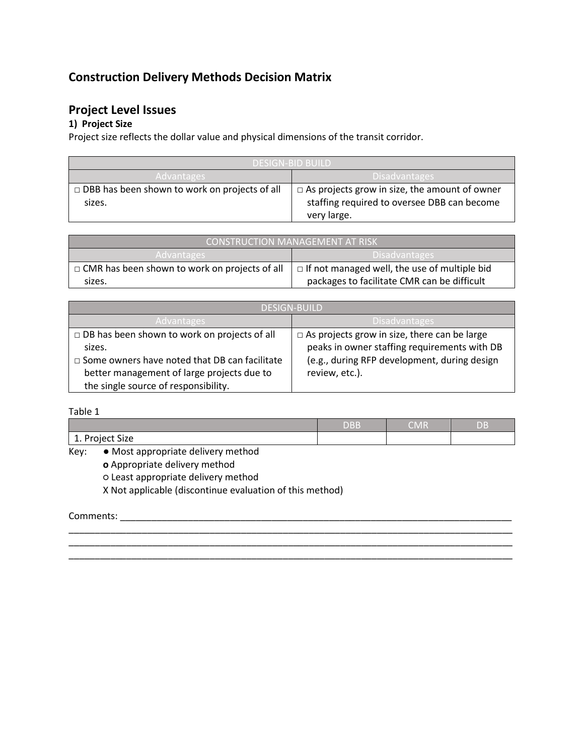# **Construction Delivery Methods Decision Matrix**

## **Project Level Issues**

### **1) Project Size**

Project size reflects the dollar value and physical dimensions of the transit corridor.

| DESIGN-BID BUILD'                                    |                                                      |  |
|------------------------------------------------------|------------------------------------------------------|--|
| Disadvantages<br><b>Advantages</b>                   |                                                      |  |
| $\Box$ DBB has been shown to work on projects of all | $\Box$ As projects grow in size, the amount of owner |  |
| sizes.                                               | staffing required to oversee DBB can become          |  |
|                                                      | very large.                                          |  |

| <b>CONSTRUCTION MANAGEMENT AT RISK</b>               |                                                     |  |
|------------------------------------------------------|-----------------------------------------------------|--|
| <b>Advantages</b>                                    | Disadvantages                                       |  |
| $\Box$ CMR has been shown to work on projects of all | $\Box$ If not managed well, the use of multiple bid |  |
| sizes.                                               | packages to facilitate CMR can be difficult         |  |

| <b>DESIGN-BUILD</b>                                  |                                                     |  |
|------------------------------------------------------|-----------------------------------------------------|--|
| 'Advantages                                          | <b>Disadvantages</b>                                |  |
| $\Box$ DB has been shown to work on projects of all  | $\Box$ As projects grow in size, there can be large |  |
| sizes.                                               | peaks in owner staffing requirements with DB        |  |
| $\Box$ Some owners have noted that DB can facilitate | (e.g., during RFP development, during design        |  |
| better management of large projects due to           | review, etc.).                                      |  |
| the single source of responsibility.                 |                                                     |  |

Table 1

|                                               | DBB | <b>CMR</b> | ъ.<br>uв |
|-----------------------------------------------|-----|------------|----------|
| Project Size<br>$\frac{1}{2}$ . $\frac{1}{2}$ |     |            |          |

\_\_\_\_\_\_\_\_\_\_\_\_\_\_\_\_\_\_\_\_\_\_\_\_\_\_\_\_\_\_\_\_\_\_\_\_\_\_\_\_\_\_\_\_\_\_\_\_\_\_\_\_\_\_\_\_\_\_\_\_\_\_\_\_\_\_\_\_\_\_\_\_\_\_\_\_\_\_\_\_\_\_\_\_\_ \_\_\_\_\_\_\_\_\_\_\_\_\_\_\_\_\_\_\_\_\_\_\_\_\_\_\_\_\_\_\_\_\_\_\_\_\_\_\_\_\_\_\_\_\_\_\_\_\_\_\_\_\_\_\_\_\_\_\_\_\_\_\_\_\_\_\_\_\_\_\_\_\_\_\_\_\_\_\_\_\_\_\_\_\_

\_\_\_\_\_\_\_\_\_\_\_\_\_\_\_\_\_\_\_\_\_\_\_\_\_\_\_\_\_\_\_\_\_\_\_\_\_\_\_\_\_\_\_\_\_\_\_\_\_\_\_\_\_\_\_\_\_\_\_\_\_\_\_\_\_\_\_\_\_\_\_\_\_\_\_\_\_\_\_\_\_\_\_\_\_

Key: ● Most appropriate delivery method

**o** Appropriate delivery method

○ Least appropriate delivery method

X Not applicable (discontinue evaluation of this method)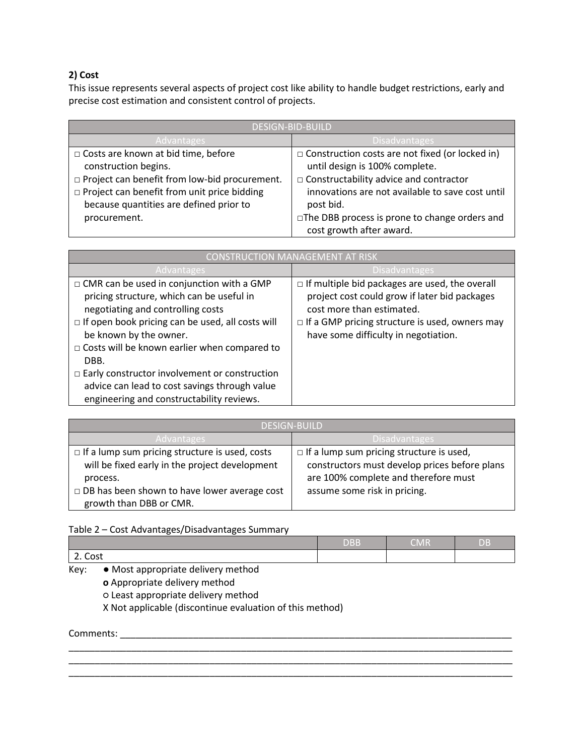#### **2) Cost**

This issue represents several aspects of project cost like ability to handle budget restrictions, early and precise cost estimation and consistent control of projects.

| <b>DESIGN-BID-BUILD</b>                              |                                                        |  |  |
|------------------------------------------------------|--------------------------------------------------------|--|--|
| <b>Advantages</b>                                    | <b>Disadvantages</b>                                   |  |  |
| □ Costs are known at bid time, before                | $\Box$ Construction costs are not fixed (or locked in) |  |  |
| construction begins.                                 | until design is 100% complete.                         |  |  |
| $\Box$ Project can benefit from low-bid procurement. | $\Box$ Constructability advice and contractor          |  |  |
| $\Box$ Project can benefit from unit price bidding   | innovations are not available to save cost until       |  |  |
| because quantities are defined prior to              | post bid.                                              |  |  |
| procurement.                                         | □The DBB process is prone to change orders and         |  |  |
|                                                      | cost growth after award.                               |  |  |

| <b>CONSTRUCTION MANAGEMENT AT RISK</b>                                                                                                                                                                                                                                                                                                                                                                                                       |                                                                                                                                                                                                                                      |  |  |
|----------------------------------------------------------------------------------------------------------------------------------------------------------------------------------------------------------------------------------------------------------------------------------------------------------------------------------------------------------------------------------------------------------------------------------------------|--------------------------------------------------------------------------------------------------------------------------------------------------------------------------------------------------------------------------------------|--|--|
| <b>Advantages</b>                                                                                                                                                                                                                                                                                                                                                                                                                            | <b>Disadvantages</b>                                                                                                                                                                                                                 |  |  |
| $\Box$ CMR can be used in conjunction with a GMP<br>pricing structure, which can be useful in<br>negotiating and controlling costs<br>$\Box$ If open book pricing can be used, all costs will<br>be known by the owner.<br>$\Box$ Costs will be known earlier when compared to<br>DBB.<br>$\Box$ Early constructor involvement or construction<br>advice can lead to cost savings through value<br>engineering and constructability reviews. | $\Box$ If multiple bid packages are used, the overall<br>project cost could grow if later bid packages<br>cost more than estimated.<br>$\Box$ If a GMP pricing structure is used, owners may<br>have some difficulty in negotiation. |  |  |

| <b>DESIGN-BUILD</b>                                   |                                                 |  |
|-------------------------------------------------------|-------------------------------------------------|--|
| Advantages                                            | <b>Disadvantages</b>                            |  |
| $\Box$ If a lump sum pricing structure is used, costs | $\Box$ If a lump sum pricing structure is used, |  |
| will be fixed early in the project development        | constructors must develop prices before plans   |  |
| process.                                              | are 100% complete and therefore must            |  |
| $\Box$ DB has been shown to have lower average cost   | assume some risk in pricing.                    |  |
| growth than DBB or CMR.                               |                                                 |  |

#### Table 2 – Cost Advantages/Disadvantages Summary

|         | <b>DBB</b> | . IVI F | DĖ |
|---------|------------|---------|----|
| 2. Cost |            |         |    |

\_\_\_\_\_\_\_\_\_\_\_\_\_\_\_\_\_\_\_\_\_\_\_\_\_\_\_\_\_\_\_\_\_\_\_\_\_\_\_\_\_\_\_\_\_\_\_\_\_\_\_\_\_\_\_\_\_\_\_\_\_\_\_\_\_\_\_\_\_\_\_\_\_\_\_\_\_\_\_\_\_\_\_\_\_ \_\_\_\_\_\_\_\_\_\_\_\_\_\_\_\_\_\_\_\_\_\_\_\_\_\_\_\_\_\_\_\_\_\_\_\_\_\_\_\_\_\_\_\_\_\_\_\_\_\_\_\_\_\_\_\_\_\_\_\_\_\_\_\_\_\_\_\_\_\_\_\_\_\_\_\_\_\_\_\_\_\_\_\_\_ \_\_\_\_\_\_\_\_\_\_\_\_\_\_\_\_\_\_\_\_\_\_\_\_\_\_\_\_\_\_\_\_\_\_\_\_\_\_\_\_\_\_\_\_\_\_\_\_\_\_\_\_\_\_\_\_\_\_\_\_\_\_\_\_\_\_\_\_\_\_\_\_\_\_\_\_\_\_\_\_\_\_\_\_\_

Key: ● Most appropriate delivery method **o** Appropriate delivery method ○ Least appropriate delivery method X Not applicable (discontinue evaluation of this method)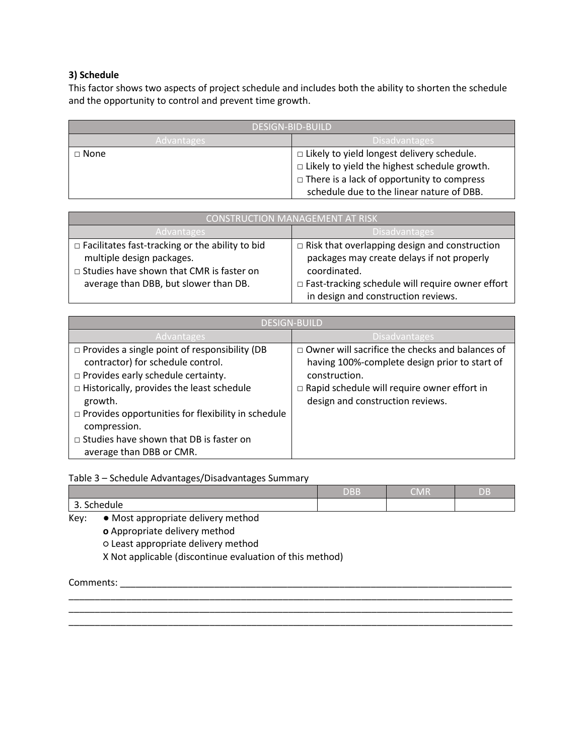#### **3) Schedule**

This factor shows two aspects of project schedule and includes both the ability to shorten the schedule and the opportunity to control and prevent time growth.

| <b>DESIGN-BID-BUILD</b> |                                                                                                                                                                                                            |  |
|-------------------------|------------------------------------------------------------------------------------------------------------------------------------------------------------------------------------------------------------|--|
| 'Advantages             | <b>Disadvantages</b>                                                                                                                                                                                       |  |
| $\Box$ None             | $\Box$ Likely to yield longest delivery schedule.<br>$\Box$ Likely to yield the highest schedule growth.<br>$\Box$ There is a lack of opportunity to compress<br>schedule due to the linear nature of DBB. |  |

| CONSTRUCTION MANAGEMENT AT RISK                                         |                                                         |  |
|-------------------------------------------------------------------------|---------------------------------------------------------|--|
| <b>Disadvantages</b><br>Advantages                                      |                                                         |  |
| $\Box$ Facilitates fast-tracking or the ability to bid                  | $\Box$ Risk that overlapping design and construction    |  |
| multiple design packages.<br>packages may create delays if not properly |                                                         |  |
| □ Studies have shown that CMR is faster on                              | coordinated.                                            |  |
| average than DBB, but slower than DB.                                   | $\Box$ Fast-tracking schedule will require owner effort |  |
|                                                                         | in design and construction reviews.                     |  |

| <b>DESIGN-BUILD</b>                                                                                                                                                                                                                                                                                                                                              |                                                                                                                                                                                                                    |  |  |
|------------------------------------------------------------------------------------------------------------------------------------------------------------------------------------------------------------------------------------------------------------------------------------------------------------------------------------------------------------------|--------------------------------------------------------------------------------------------------------------------------------------------------------------------------------------------------------------------|--|--|
| Advantages                                                                                                                                                                                                                                                                                                                                                       | <b>Disadvantages</b>                                                                                                                                                                                               |  |  |
| $\Box$ Provides a single point of responsibility (DB<br>contractor) for schedule control.<br>$\Box$ Provides early schedule certainty.<br>$\Box$ Historically, provides the least schedule<br>growth.<br>$\Box$ Provides opportunities for flexibility in schedule<br>compression.<br>$\Box$ Studies have shown that DB is faster on<br>average than DBB or CMR. | $\Box$ Owner will sacrifice the checks and balances of<br>having 100%-complete design prior to start of<br>construction.<br>$\Box$ Rapid schedule will require owner effort in<br>design and construction reviews. |  |  |

Table 3 – Schedule Advantages/Disadvantages Summary

|      |                                     | <b>DBB</b> | CMR | <b>DB</b> |
|------|-------------------------------------|------------|-----|-----------|
|      | 3. Schedule                         |            |     |           |
| Key: | • Most appropriate delivery method  |            |     |           |
|      | o Appropriate delivery method       |            |     |           |
|      | o Least appropriate delivery method |            |     |           |

\_\_\_\_\_\_\_\_\_\_\_\_\_\_\_\_\_\_\_\_\_\_\_\_\_\_\_\_\_\_\_\_\_\_\_\_\_\_\_\_\_\_\_\_\_\_\_\_\_\_\_\_\_\_\_\_\_\_\_\_\_\_\_\_\_\_\_\_\_\_\_\_\_\_\_\_\_\_\_\_\_\_\_\_\_

\_\_\_\_\_\_\_\_\_\_\_\_\_\_\_\_\_\_\_\_\_\_\_\_\_\_\_\_\_\_\_\_\_\_\_\_\_\_\_\_\_\_\_\_\_\_\_\_\_\_\_\_\_\_\_\_\_\_\_\_\_\_\_\_\_\_\_\_\_\_\_\_\_\_\_\_\_\_\_\_\_\_\_\_\_

\_\_\_\_\_\_\_\_\_\_\_\_\_\_\_\_\_\_\_\_\_\_\_\_\_\_\_\_\_\_\_\_\_\_\_\_\_\_\_\_\_\_\_\_\_\_\_\_\_\_\_\_\_\_\_\_\_\_\_\_\_\_\_\_\_\_\_\_\_\_\_\_\_\_\_\_\_\_\_\_\_\_\_\_\_

X Not applicable (discontinue evaluation of this method)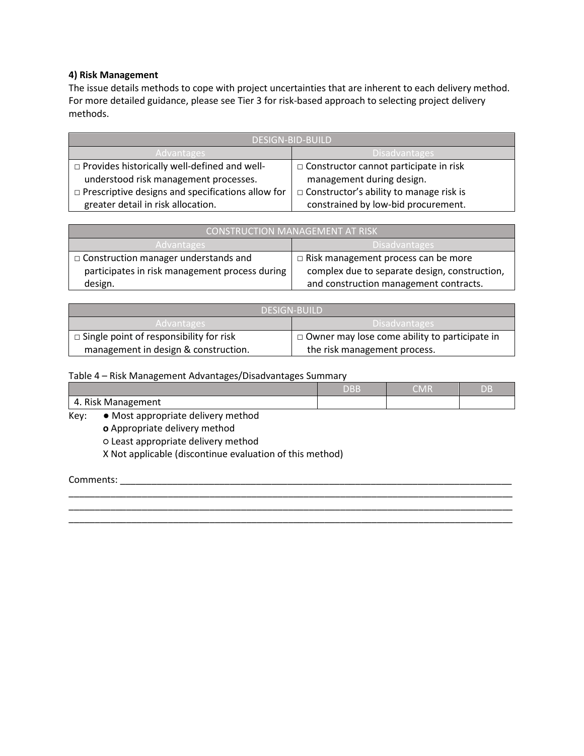#### **4) Risk Management**

The issue details methods to cope with project uncertainties that are inherent to each delivery method. For more detailed guidance, please see Tier 3 for risk-based approach to selecting project delivery methods.

| <b>DESIGN-BID-BUILD</b>                                  |                                           |  |
|----------------------------------------------------------|-------------------------------------------|--|
| <b>Advantages</b>                                        | 'Disadvantages                            |  |
| □ Provides historically well-defined and well-           | □ Constructor cannot participate in risk  |  |
| understood risk management processes.                    | management during design.                 |  |
| $\Box$ Prescriptive designs and specifications allow for | □ Constructor's ability to manage risk is |  |
| greater detail in risk allocation.                       | constrained by low-bid procurement.       |  |

| <b>CONSTRUCTION MANAGEMENT AT RISK</b>         |                                               |  |
|------------------------------------------------|-----------------------------------------------|--|
| 'Advantages,                                   | Disadvantages                                 |  |
| $\Box$ Construction manager understands and    | $\Box$ Risk management process can be more    |  |
| participates in risk management process during | complex due to separate design, construction, |  |
| design.                                        | and construction management contracts.        |  |

| <b>DESIGN-BUILD</b>                            |                                                      |  |
|------------------------------------------------|------------------------------------------------------|--|
| Advantages                                     | ' Disadvantages                                      |  |
| $\Box$ Single point of responsibility for risk | $\Box$ Owner may lose come ability to participate in |  |
| management in design & construction.           | the risk management process.                         |  |

Table 4 – Risk Management Advantages/Disadvantages Summary

|                                                     | <b>NDD</b><br>JD D | CMR | DB |
|-----------------------------------------------------|--------------------|-----|----|
| $\sim$ $\cdot$<br>'anagement<br><b>Risk</b><br>Mana |                    |     |    |

\_\_\_\_\_\_\_\_\_\_\_\_\_\_\_\_\_\_\_\_\_\_\_\_\_\_\_\_\_\_\_\_\_\_\_\_\_\_\_\_\_\_\_\_\_\_\_\_\_\_\_\_\_\_\_\_\_\_\_\_\_\_\_\_\_\_\_\_\_\_\_\_\_\_\_\_\_\_\_\_\_\_\_\_\_

- Key: Most appropriate delivery method
	- **o** Appropriate delivery method

○ Least appropriate delivery method

X Not applicable (discontinue evaluation of this method)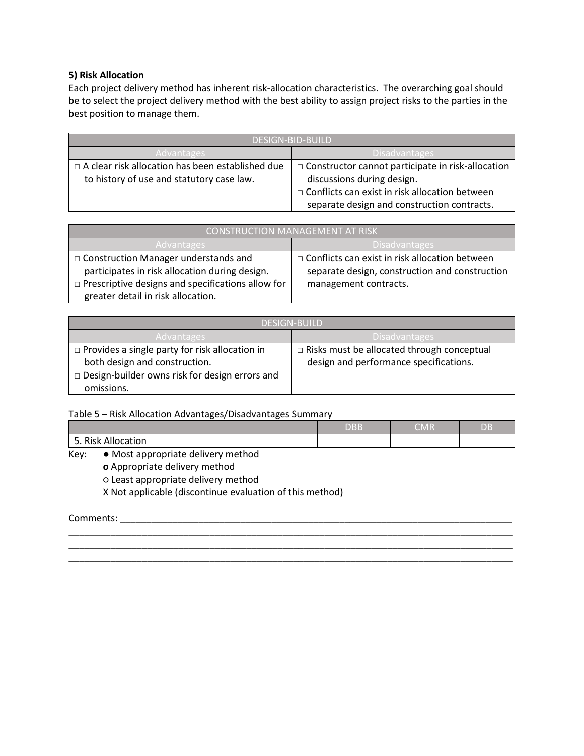#### **5) Risk Allocation**

Each project delivery method has inherent risk-allocation characteristics. The overarching goal should be to select the project delivery method with the best ability to assign project risks to the parties in the best position to manage them.

| DESIGN-BID-BUILD                                                                                     |                                                                                                      |  |
|------------------------------------------------------------------------------------------------------|------------------------------------------------------------------------------------------------------|--|
| 'Advantages                                                                                          | 'Disadvantages                                                                                       |  |
| $\Box$ A clear risk allocation has been established due<br>to history of use and statutory case law. | $\Box$ Constructor cannot participate in risk-allocation<br>discussions during design.               |  |
|                                                                                                      | $\Box$ Conflicts can exist in risk allocation between<br>separate design and construction contracts. |  |

| <b>CONSTRUCTION MANAGEMENT AT RISK</b>                   |                                                       |  |
|----------------------------------------------------------|-------------------------------------------------------|--|
| Advantages                                               | Disadvantages                                         |  |
| □ Construction Manager understands and                   | $\Box$ Conflicts can exist in risk allocation between |  |
| participates in risk allocation during design.           | separate design, construction and construction        |  |
| $\Box$ Prescriptive designs and specifications allow for | management contracts.                                 |  |
| greater detail in risk allocation.                       |                                                       |  |

| <b>DESIGN-BUILD</b>                                                                                                                                           |                                                                                             |  |
|---------------------------------------------------------------------------------------------------------------------------------------------------------------|---------------------------------------------------------------------------------------------|--|
| Advantages                                                                                                                                                    | Disadvantages                                                                               |  |
| $\Box$ Provides a single party for risk allocation in<br>both design and construction.<br>$\Box$ Design-builder owns risk for design errors and<br>omissions. | $\Box$ Risks must be allocated through conceptual<br>design and performance specifications. |  |

Table 5 – Risk Allocation Advantages/Disadvantages Summary

|      |                                    | DBB | CMR | DB |
|------|------------------------------------|-----|-----|----|
|      | 5. Risk Allocation                 |     |     |    |
| Kev: | • Most appropriate delivery method |     |     |    |
|      | o Appropriate delivery method      |     |     |    |

\_\_\_\_\_\_\_\_\_\_\_\_\_\_\_\_\_\_\_\_\_\_\_\_\_\_\_\_\_\_\_\_\_\_\_\_\_\_\_\_\_\_\_\_\_\_\_\_\_\_\_\_\_\_\_\_\_\_\_\_\_\_\_\_\_\_\_\_\_\_\_\_\_\_\_\_\_\_\_\_\_\_\_\_\_

\_\_\_\_\_\_\_\_\_\_\_\_\_\_\_\_\_\_\_\_\_\_\_\_\_\_\_\_\_\_\_\_\_\_\_\_\_\_\_\_\_\_\_\_\_\_\_\_\_\_\_\_\_\_\_\_\_\_\_\_\_\_\_\_\_\_\_\_\_\_\_\_\_\_\_\_\_\_\_\_\_\_\_\_\_

○ Least appropriate delivery method

X Not applicable (discontinue evaluation of this method)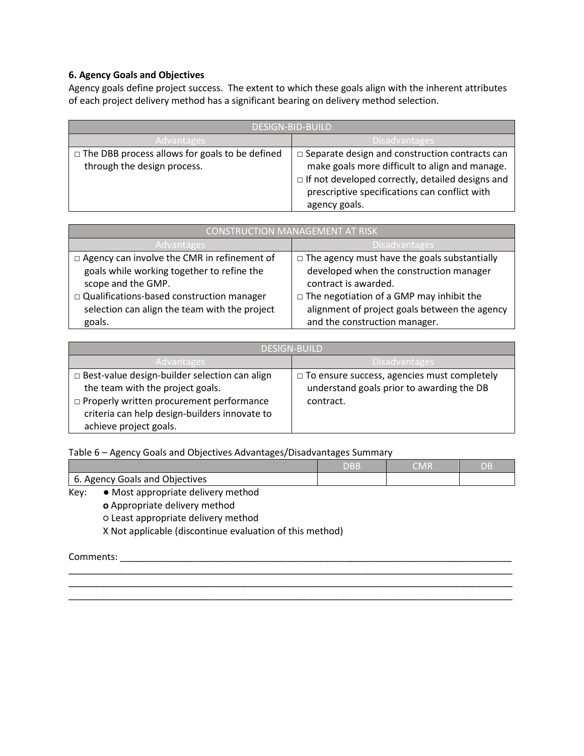#### **6. Agency Goals and Objectives**

Agency goals define project success. The extent to which these goals align with the inherent attributes of each project delivery method has a significant bearing on delivery method selection.

| DESIGN-BID-BUILD                                                                     |                                                                                                                                                                                                                                      |  |
|--------------------------------------------------------------------------------------|--------------------------------------------------------------------------------------------------------------------------------------------------------------------------------------------------------------------------------------|--|
| 'Advantages                                                                          | <b>Disadvantages</b>                                                                                                                                                                                                                 |  |
| $\Box$ The DBB process allows for goals to be defined<br>through the design process. | $\Box$ Separate design and construction contracts can<br>make goals more difficult to align and manage.<br>$\Box$ If not developed correctly, detailed designs and<br>prescriptive specifications can conflict with<br>agency goals. |  |

| <b>CONSTRUCTION MANAGEMENT AT RISK</b>        |                                                     |  |  |
|-----------------------------------------------|-----------------------------------------------------|--|--|
| <b>Advantages</b>                             | <b>Disadvantages</b>                                |  |  |
| □ Agency can involve the CMR in refinement of | $\Box$ The agency must have the goals substantially |  |  |
| goals while working together to refine the    | developed when the construction manager             |  |  |
| scope and the GMP.                            | contract is awarded.                                |  |  |
| □ Qualifications-based construction manager   | $\Box$ The negotiation of a GMP may inhibit the     |  |  |
| selection can align the team with the project | alignment of project goals between the agency       |  |  |
| goals.                                        | and the construction manager.                       |  |  |

| <b>DESIGN-BUILD</b>                                                                                                                                                                                               |                                                                                                              |  |
|-------------------------------------------------------------------------------------------------------------------------------------------------------------------------------------------------------------------|--------------------------------------------------------------------------------------------------------------|--|
| 'Advantages                                                                                                                                                                                                       | 'Disadvantages                                                                                               |  |
| □ Best-value design-builder selection can align<br>the team with the project goals.<br>$\Box$ Properly written procurement performance<br>criteria can help design-builders innovate to<br>achieve project goals. | $\Box$ To ensure success, agencies must completely<br>understand goals prior to awarding the DB<br>contract. |  |

Table 6 – Agency Goals and Objectives Advantages/Disadvantages Summary

|                                            | DBB' | CMR | ЮB |
|--------------------------------------------|------|-----|----|
| 6. Agency Goals and Objectives             |      |     |    |
| • Most appropriate delivery method<br>Key: |      |     |    |

\_\_\_\_\_\_\_\_\_\_\_\_\_\_\_\_\_\_\_\_\_\_\_\_\_\_\_\_\_\_\_\_\_\_\_\_\_\_\_\_\_\_\_\_\_\_\_\_\_\_\_\_\_\_\_\_\_\_\_\_\_\_\_\_\_\_\_\_\_\_\_\_\_\_\_\_\_\_\_\_\_\_\_\_\_

\_\_\_\_\_\_\_\_\_\_\_\_\_\_\_\_\_\_\_\_\_\_\_\_\_\_\_\_\_\_\_\_\_\_\_\_\_\_\_\_\_\_\_\_\_\_\_\_\_\_\_\_\_\_\_\_\_\_\_\_\_\_\_\_\_\_\_\_\_\_\_\_\_\_\_\_\_\_\_\_\_\_\_\_\_

\_\_\_\_\_\_\_\_\_\_\_\_\_\_\_\_\_\_\_\_\_\_\_\_\_\_\_\_\_\_\_\_\_\_\_\_\_\_\_\_\_\_\_\_\_\_\_\_\_\_\_\_\_\_\_\_\_\_\_\_\_\_\_\_\_\_\_\_\_\_\_\_\_\_\_\_\_\_\_\_\_\_\_\_\_

**o** Appropriate delivery method ○ Least appropriate delivery method X Not applicable (discontinue evaluation of this method)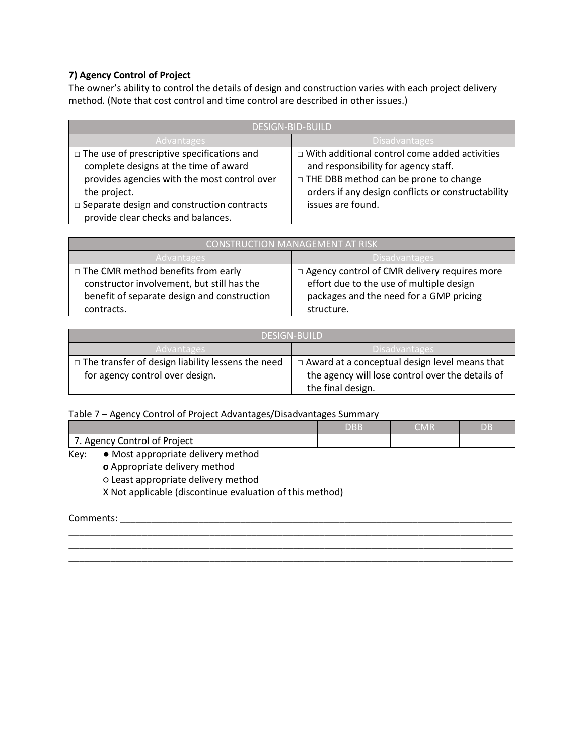#### **7) Agency Control of Project**

The owner's ability to control the details of design and construction varies with each project delivery method. (Note that cost control and time control are described in other issues.)

| <b>DESIGN-BID-BUILD</b>                              |                                                      |  |
|------------------------------------------------------|------------------------------------------------------|--|
| <b>Disadvantages</b><br><b>Advantages</b>            |                                                      |  |
| $\Box$ The use of prescriptive specifications and    | $\Box$ With additional control come added activities |  |
| complete designs at the time of award                | and responsibility for agency staff.                 |  |
| provides agencies with the most control over         | $\Box$ THE DBB method can be prone to change         |  |
| the project.                                         | orders if any design conflicts or constructability   |  |
| $\square$ Separate design and construction contracts | issues are found.                                    |  |
| provide clear checks and balances.                   |                                                      |  |

| CONSTRUCTION MANAGEMENT AT RISK             |                                                |  |  |
|---------------------------------------------|------------------------------------------------|--|--|
| 'Disadvantages<br>Advantages                |                                                |  |  |
| $\Box$ The CMR method benefits from early   | □ Agency control of CMR delivery requires more |  |  |
| constructor involvement, but still has the  | effort due to the use of multiple design       |  |  |
| benefit of separate design and construction | packages and the need for a GMP pricing        |  |  |
| contracts.                                  | structure.                                     |  |  |

| <b>DESIGN-RUILD</b>                                      |                                                      |  |  |
|----------------------------------------------------------|------------------------------------------------------|--|--|
| <b>Disadvantages</b><br>'Advantages                      |                                                      |  |  |
| $\Box$ The transfer of design liability lessens the need | $\Box$ Award at a conceptual design level means that |  |  |
| for agency control over design.                          | the agency will lose control over the details of     |  |  |
|                                                          | the final design.                                    |  |  |

Table 7 – Agency Control of Project Advantages/Disadvantages Summary

|                                                                   | $\sim$ $\sim$ $\sim$<br>. | DВ |
|-------------------------------------------------------------------|---------------------------|----|
| $\overline{\phantom{a}}$<br>control:<br>Project<br>∩t<br>Agency ( |                           |    |

\_\_\_\_\_\_\_\_\_\_\_\_\_\_\_\_\_\_\_\_\_\_\_\_\_\_\_\_\_\_\_\_\_\_\_\_\_\_\_\_\_\_\_\_\_\_\_\_\_\_\_\_\_\_\_\_\_\_\_\_\_\_\_\_\_\_\_\_\_\_\_\_\_\_\_\_\_\_\_\_\_\_\_\_\_

\_\_\_\_\_\_\_\_\_\_\_\_\_\_\_\_\_\_\_\_\_\_\_\_\_\_\_\_\_\_\_\_\_\_\_\_\_\_\_\_\_\_\_\_\_\_\_\_\_\_\_\_\_\_\_\_\_\_\_\_\_\_\_\_\_\_\_\_\_\_\_\_\_\_\_\_\_\_\_\_\_\_\_\_\_

Key: ● Most appropriate delivery method

**o** Appropriate delivery method

○ Least appropriate delivery method

X Not applicable (discontinue evaluation of this method)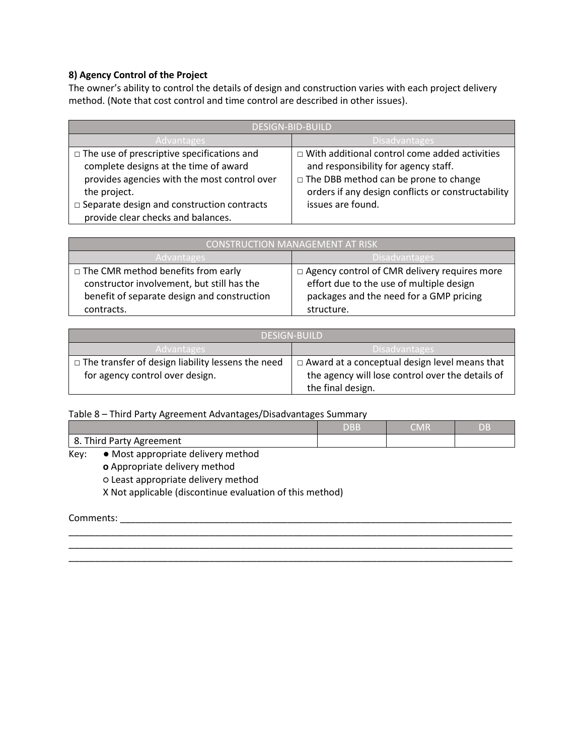#### **8) Agency Control of the Project**

The owner's ability to control the details of design and construction varies with each project delivery method. (Note that cost control and time control are described in other issues).

| <b>DESIGN-BID-BUILD</b>                              |                                                      |  |  |
|------------------------------------------------------|------------------------------------------------------|--|--|
| <b>Disadvantages</b><br><b>Advantages</b>            |                                                      |  |  |
| $\Box$ The use of prescriptive specifications and    | $\Box$ With additional control come added activities |  |  |
| complete designs at the time of award                | and responsibility for agency staff.                 |  |  |
| provides agencies with the most control over         | $\Box$ The DBB method can be prone to change         |  |  |
| the project.                                         | orders if any design conflicts or constructability   |  |  |
| $\square$ Separate design and construction contracts | issues are found.                                    |  |  |
| provide clear checks and balances.                   |                                                      |  |  |

| CONSTRUCTION MANAGEMENT AT RISK             |                                                |  |  |
|---------------------------------------------|------------------------------------------------|--|--|
| Advantages                                  | Disadvantages,                                 |  |  |
| $\Box$ The CMR method benefits from early   | □ Agency control of CMR delivery requires more |  |  |
| constructor involvement, but still has the  | effort due to the use of multiple design       |  |  |
| benefit of separate design and construction | packages and the need for a GMP pricing        |  |  |
| contracts.                                  | structure.                                     |  |  |

| <b>DESIGN-RUILD</b>                                      |                                                      |  |  |
|----------------------------------------------------------|------------------------------------------------------|--|--|
| <b>Disadvantages</b><br>'Advantages                      |                                                      |  |  |
| $\Box$ The transfer of design liability lessens the need | $\Box$ Award at a conceptual design level means that |  |  |
| for agency control over design.                          | the agency will lose control over the details of     |  |  |
|                                                          | the final design.                                    |  |  |

Table 8 – Third Party Agreement Advantages/Disadvantages Summary

| 8. Third Party Agreement                               |  |  |
|--------------------------------------------------------|--|--|
| $\bullet$ Most appropriate delivery method<br>$V \sim$ |  |  |

\_\_\_\_\_\_\_\_\_\_\_\_\_\_\_\_\_\_\_\_\_\_\_\_\_\_\_\_\_\_\_\_\_\_\_\_\_\_\_\_\_\_\_\_\_\_\_\_\_\_\_\_\_\_\_\_\_\_\_\_\_\_\_\_\_\_\_\_\_\_\_\_\_\_\_\_\_\_\_\_\_\_\_\_\_

\_\_\_\_\_\_\_\_\_\_\_\_\_\_\_\_\_\_\_\_\_\_\_\_\_\_\_\_\_\_\_\_\_\_\_\_\_\_\_\_\_\_\_\_\_\_\_\_\_\_\_\_\_\_\_\_\_\_\_\_\_\_\_\_\_\_\_\_\_\_\_\_\_\_\_\_\_\_\_\_\_\_\_\_\_

Key: ● Most appropriate delivery method

**o** Appropriate delivery method

○ Least appropriate delivery method

X Not applicable (discontinue evaluation of this method)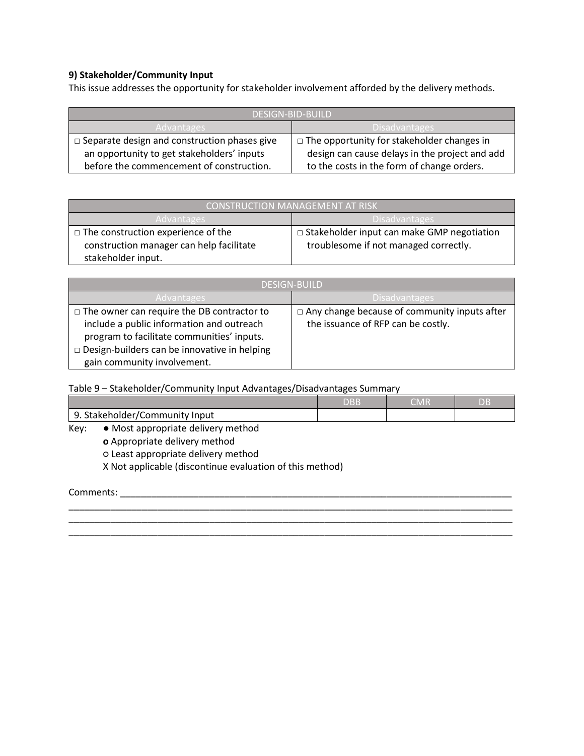#### **9) Stakeholder/Community Input**

This issue addresses the opportunity for stakeholder involvement afforded by the delivery methods.

| DESIGN-BID-BUILD                                    |                                                   |  |  |
|-----------------------------------------------------|---------------------------------------------------|--|--|
| <b>Disadvantages</b><br>Advantages                  |                                                   |  |  |
| $\Box$ Separate design and construction phases give | $\Box$ The opportunity for stakeholder changes in |  |  |
| an opportunity to get stakeholders' inputs          | design can cause delays in the project and add    |  |  |
| before the commencement of construction.            | to the costs in the form of change orders.        |  |  |

| CONSTRUCTION MANAGEMENT AT RISK           |                                                   |  |
|-------------------------------------------|---------------------------------------------------|--|
| Disadvantages<br>Advantages               |                                                   |  |
| $\Box$ The construction experience of the | $\Box$ Stakeholder input can make GMP negotiation |  |
| construction manager can help facilitate  | troublesome if not managed correctly.             |  |
| stakeholder input.                        |                                                   |  |

| <b>DESIGN-BUILD</b>                                 |                                                     |  |  |
|-----------------------------------------------------|-----------------------------------------------------|--|--|
| 'Advantages                                         | Disadvantages                                       |  |  |
| $\Box$ The owner can require the DB contractor to   | $\Box$ Any change because of community inputs after |  |  |
| include a public information and outreach           | the issuance of RFP can be costly.                  |  |  |
| program to facilitate communities' inputs.          |                                                     |  |  |
| $\Box$ Design-builders can be innovative in helping |                                                     |  |  |
| gain community involvement.                         |                                                     |  |  |

Table 9 – Stakeholder/Community Input Advantages/Disadvantages Summary

|                                     | DBB | WIND | DΒ |
|-------------------------------------|-----|------|----|
| Stakeholder/Community<br>q<br>Input |     |      |    |

\_\_\_\_\_\_\_\_\_\_\_\_\_\_\_\_\_\_\_\_\_\_\_\_\_\_\_\_\_\_\_\_\_\_\_\_\_\_\_\_\_\_\_\_\_\_\_\_\_\_\_\_\_\_\_\_\_\_\_\_\_\_\_\_\_\_\_\_\_\_\_\_\_\_\_\_\_\_\_\_\_\_\_\_\_ \_\_\_\_\_\_\_\_\_\_\_\_\_\_\_\_\_\_\_\_\_\_\_\_\_\_\_\_\_\_\_\_\_\_\_\_\_\_\_\_\_\_\_\_\_\_\_\_\_\_\_\_\_\_\_\_\_\_\_\_\_\_\_\_\_\_\_\_\_\_\_\_\_\_\_\_\_\_\_\_\_\_\_\_\_

- Key: Most appropriate delivery method
	- **o** Appropriate delivery method

○ Least appropriate delivery method

X Not applicable (discontinue evaluation of this method)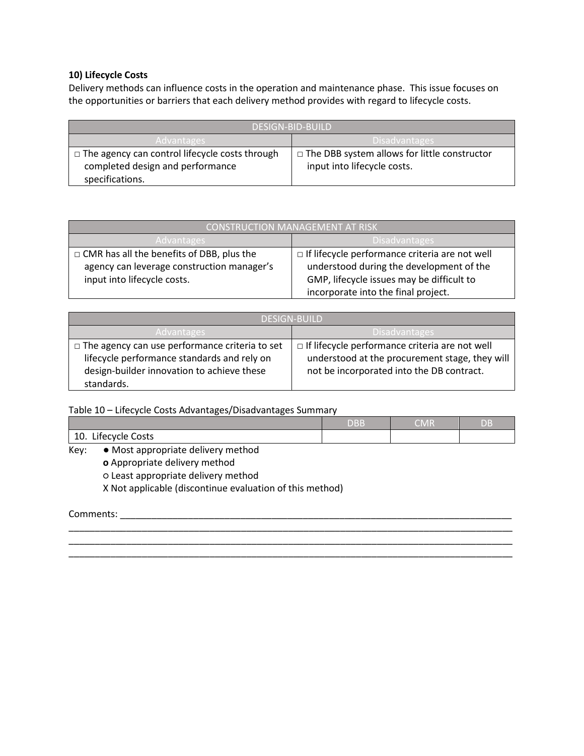#### **10) Lifecycle Costs**

Delivery methods can influence costs in the operation and maintenance phase. This issue focuses on the opportunities or barriers that each delivery method provides with regard to lifecycle costs.

| DESIGN-BID-BUILD                                      |                                                |  |
|-------------------------------------------------------|------------------------------------------------|--|
| Advantages,                                           | <b>Disadvantages</b>                           |  |
| $\Box$ The agency can control lifecycle costs through | □ The DBB system allows for little constructor |  |
| completed design and performance                      | input into lifecycle costs.                    |  |
| specifications.                                       |                                                |  |

| CONSTRUCTION MANAGEMENT AT RISK                  |                                                       |  |
|--------------------------------------------------|-------------------------------------------------------|--|
| 'Disadvantages<br>Advantages                     |                                                       |  |
| $\Box$ CMR has all the benefits of DBB, plus the | $\Box$ If lifecycle performance criteria are not well |  |
| agency can leverage construction manager's       | understood during the development of the              |  |
| input into lifecycle costs.                      | GMP, lifecycle issues may be difficult to             |  |
|                                                  | incorporate into the final project.                   |  |

| <b>DESIGN-BUILD</b>                                                                                                                                              |                                                                                                                                                      |  |  |
|------------------------------------------------------------------------------------------------------------------------------------------------------------------|------------------------------------------------------------------------------------------------------------------------------------------------------|--|--|
| Advantages                                                                                                                                                       | 'Disadvantages                                                                                                                                       |  |  |
| $\Box$ The agency can use performance criteria to set<br>lifecycle performance standards and rely on<br>design-builder innovation to achieve these<br>standards. | $\Box$ If lifecycle performance criteria are not well<br>understood at the procurement stage, they will<br>not be incorporated into the DB contract. |  |  |

Table 10 – Lifecycle Costs Advantages/Disadvantages Summary

|                                     | <b>NDD</b> | CMR | DB |
|-------------------------------------|------------|-----|----|
| 10<br>Lifecycle Costs<br>TO.        |            |     |    |
| $\cdot$<br>and a little of the<br>. |            |     |    |

\_\_\_\_\_\_\_\_\_\_\_\_\_\_\_\_\_\_\_\_\_\_\_\_\_\_\_\_\_\_\_\_\_\_\_\_\_\_\_\_\_\_\_\_\_\_\_\_\_\_\_\_\_\_\_\_\_\_\_\_\_\_\_\_\_\_\_\_\_\_\_\_\_\_\_\_\_\_\_\_\_\_\_\_\_ \_\_\_\_\_\_\_\_\_\_\_\_\_\_\_\_\_\_\_\_\_\_\_\_\_\_\_\_\_\_\_\_\_\_\_\_\_\_\_\_\_\_\_\_\_\_\_\_\_\_\_\_\_\_\_\_\_\_\_\_\_\_\_\_\_\_\_\_\_\_\_\_\_\_\_\_\_\_\_\_\_\_\_\_\_ \_\_\_\_\_\_\_\_\_\_\_\_\_\_\_\_\_\_\_\_\_\_\_\_\_\_\_\_\_\_\_\_\_\_\_\_\_\_\_\_\_\_\_\_\_\_\_\_\_\_\_\_\_\_\_\_\_\_\_\_\_\_\_\_\_\_\_\_\_\_\_\_\_\_\_\_\_\_\_\_\_\_\_\_\_

Key: ● Most appropriate delivery method

**o** Appropriate delivery method

○ Least appropriate delivery method

X Not applicable (discontinue evaluation of this method)